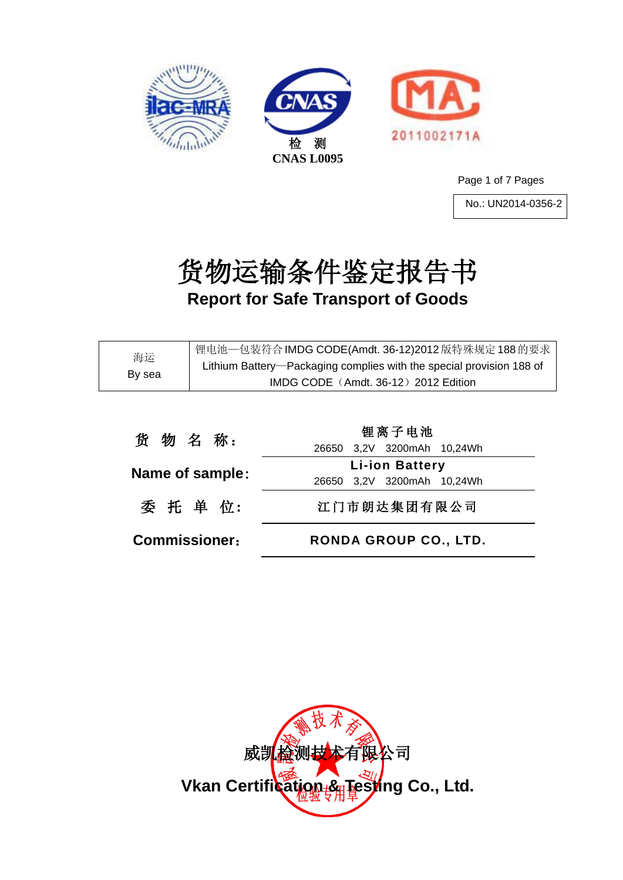





Page 1 of 7 Pages

No.: UN2014-0356-2

# 货物运输条件鉴定报告书 **Report for Safe Transport of Goods**

| 海运<br>By sea | 锂电池—包装符合 IMDG CODE(Amdt. 36-12)2012 版特殊规定 188 的要求                    |  |
|--------------|----------------------------------------------------------------------|--|
|              | Lithium Battery-Packaging complies with the special provision 188 of |  |
|              | IMDG CODE (Amdt. 36-12) 2012 Edition                                 |  |
|              |                                                                      |  |
|              |                                                                      |  |

| <b>Commissioner:</b> | <b>RONDA GROUP CO., LTD.</b>                        |
|----------------------|-----------------------------------------------------|
| 委 托 单 位:             | 江门市朗达集团有限公司                                         |
| Name of sample:      | <b>Li-ion Battery</b><br>26650 3,2V 3200mAh 10,24Wh |
|                      | 26650 3,2V 3200mAh 10,24Wh                          |
| 货物名称:                | 锂离子电池                                               |

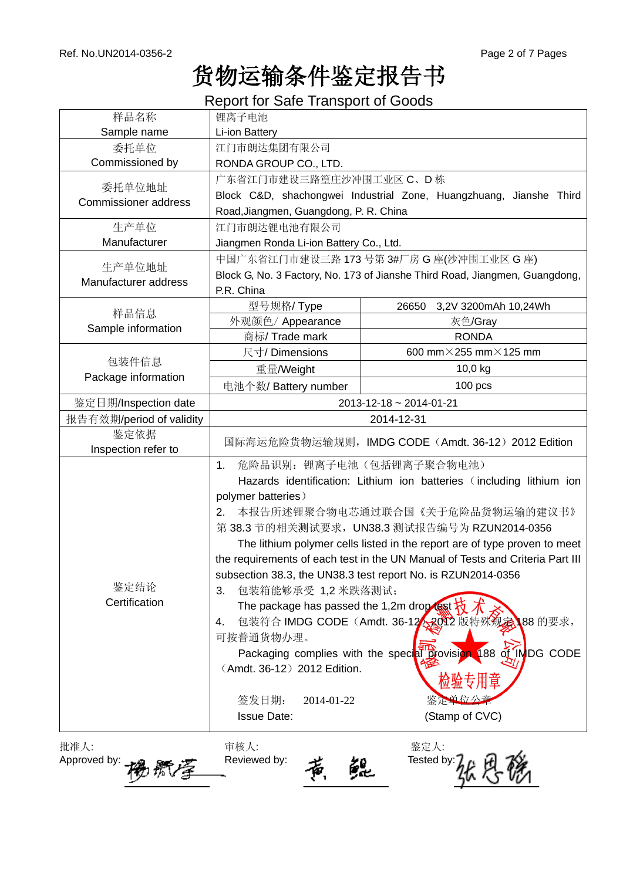# 货物运输条件鉴定报告书

Report for Safe Transport of Goods

| 样品名称                        | 锂离子电池                                                                                                                                                                                                                                                              |                                                                                                                                                                                                                                                                                                                                                                                                                                                                                                                            |  |  |
|-----------------------------|--------------------------------------------------------------------------------------------------------------------------------------------------------------------------------------------------------------------------------------------------------------------|----------------------------------------------------------------------------------------------------------------------------------------------------------------------------------------------------------------------------------------------------------------------------------------------------------------------------------------------------------------------------------------------------------------------------------------------------------------------------------------------------------------------------|--|--|
| Sample name                 | Li-ion Battery                                                                                                                                                                                                                                                     |                                                                                                                                                                                                                                                                                                                                                                                                                                                                                                                            |  |  |
| 委托单位                        | 江门市朗达集团有限公司                                                                                                                                                                                                                                                        |                                                                                                                                                                                                                                                                                                                                                                                                                                                                                                                            |  |  |
| Commissioned by             | RONDA GROUP CO., LTD.                                                                                                                                                                                                                                              |                                                                                                                                                                                                                                                                                                                                                                                                                                                                                                                            |  |  |
| 委托单位地址                      | 广东省江门市建设三路篁庄沙冲围工业区 C、D栋                                                                                                                                                                                                                                            |                                                                                                                                                                                                                                                                                                                                                                                                                                                                                                                            |  |  |
| <b>Commissioner address</b> |                                                                                                                                                                                                                                                                    | Block C&D, shachongwei Industrial Zone, Huangzhuang, Jianshe Third                                                                                                                                                                                                                                                                                                                                                                                                                                                         |  |  |
|                             | Road, Jiangmen, Guangdong, P. R. China                                                                                                                                                                                                                             |                                                                                                                                                                                                                                                                                                                                                                                                                                                                                                                            |  |  |
| 生产单位                        | 江门市朗达锂电池有限公司                                                                                                                                                                                                                                                       |                                                                                                                                                                                                                                                                                                                                                                                                                                                                                                                            |  |  |
| Manufacturer                | Jiangmen Ronda Li-ion Battery Co., Ltd.                                                                                                                                                                                                                            |                                                                                                                                                                                                                                                                                                                                                                                                                                                                                                                            |  |  |
| 生产单位地址                      | 中国广东省江门市建设三路 173 号第 3#厂房 G 座(沙冲围工业区 G 座)                                                                                                                                                                                                                           |                                                                                                                                                                                                                                                                                                                                                                                                                                                                                                                            |  |  |
| Manufacturer address        | Block G, No. 3 Factory, No. 173 of Jianshe Third Road, Jiangmen, Guangdong,                                                                                                                                                                                        |                                                                                                                                                                                                                                                                                                                                                                                                                                                                                                                            |  |  |
|                             | P.R. China                                                                                                                                                                                                                                                         |                                                                                                                                                                                                                                                                                                                                                                                                                                                                                                                            |  |  |
| 样品信息                        | 型号规格/Type                                                                                                                                                                                                                                                          | 26650<br>3,2V 3200mAh 10,24Wh                                                                                                                                                                                                                                                                                                                                                                                                                                                                                              |  |  |
| Sample information          | 外观颜色/ Appearance                                                                                                                                                                                                                                                   | 灰色/Gray                                                                                                                                                                                                                                                                                                                                                                                                                                                                                                                    |  |  |
|                             | 商标/ Trade mark                                                                                                                                                                                                                                                     | <b>RONDA</b>                                                                                                                                                                                                                                                                                                                                                                                                                                                                                                               |  |  |
| 包装件信息                       | 尺寸/Dimensions                                                                                                                                                                                                                                                      | 600 mm $\times$ 255 mm $\times$ 125 mm                                                                                                                                                                                                                                                                                                                                                                                                                                                                                     |  |  |
| Package information         | 重量/Weight                                                                                                                                                                                                                                                          | 10,0 kg                                                                                                                                                                                                                                                                                                                                                                                                                                                                                                                    |  |  |
|                             | 电池个数/ Battery number                                                                                                                                                                                                                                               | $100$ pcs                                                                                                                                                                                                                                                                                                                                                                                                                                                                                                                  |  |  |
| 鉴定日期/Inspection date        | 2013-12-18 ~ 2014-01-21                                                                                                                                                                                                                                            |                                                                                                                                                                                                                                                                                                                                                                                                                                                                                                                            |  |  |
| 报告有效期/period of validity    | 2014-12-31                                                                                                                                                                                                                                                         |                                                                                                                                                                                                                                                                                                                                                                                                                                                                                                                            |  |  |
| 鉴定依据                        |                                                                                                                                                                                                                                                                    | 国际海运危险货物运输规则,IMDG CODE(Amdt. 36-12)2012 Edition                                                                                                                                                                                                                                                                                                                                                                                                                                                                            |  |  |
| Inspection refer to         |                                                                                                                                                                                                                                                                    |                                                                                                                                                                                                                                                                                                                                                                                                                                                                                                                            |  |  |
| 鉴定结论<br>Certification       | 危险品识别: 锂离子电池(包括锂离子聚合物电池)<br>$\mathbf{1}$ .<br>polymer batteries)<br>$2_{-}$<br>包装箱能够承受 1,2 米跌落测试;<br>3.<br>The package has passed the 1,2m drop (ast $\overline{K}$<br>4.<br>可按普通货物办理。<br>(Amdt. 36-12) 2012 Edition.<br>签发日期:<br>2014-01-22<br><b>Issue Date:</b> | Hazards identification: Lithium ion batteries (including lithium ion<br>本报告所述锂聚合物电芯通过联合国《关于危险品货物运输的建议书》<br>第 38.3 节的相关测试要求, UN38.3 测试报告编号为 RZUN2014-0356<br>The lithium polymer cells listed in the report are of type proven to meet<br>the requirements of each test in the UN Manual of Tests and Criteria Part III<br>subsection 38.3, the UN38.3 test report No. is RZUN2014-0356<br>包装符合 IMDG CODE (Amdt. 36-12 <<br>2012 版特殊规念 88 的要求,<br>Packaging complies with the special provision 188 of INDG CODE<br>专用章<br> |  |  |
| 批准人:<br>Approved by:        | 审核人:<br>Reviewed by:                                                                                                                                                                                                                                               | 鉴定人:<br>Tested by:                                                                                                                                                                                                                                                                                                                                                                                                                                                                                                         |  |  |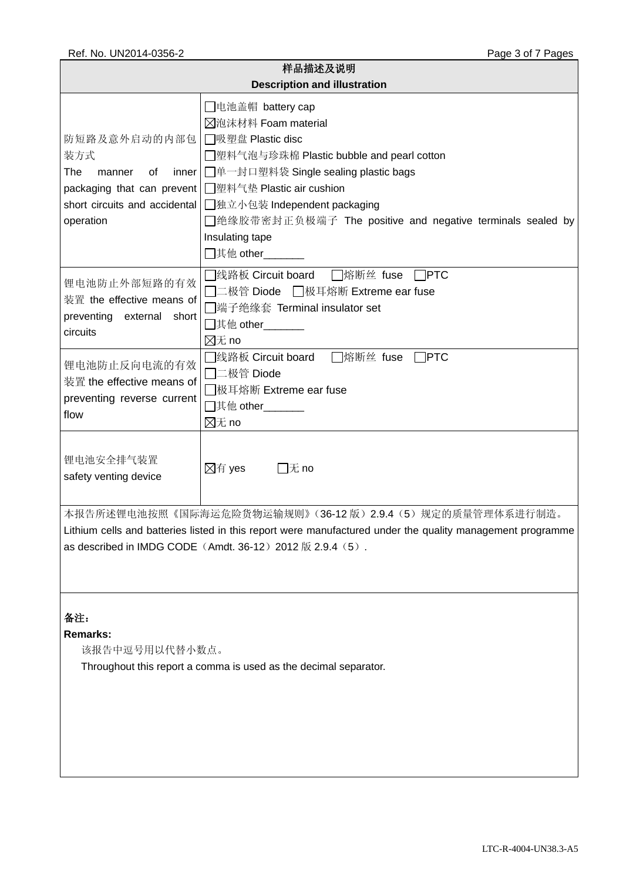| 样品描述及说明<br><b>Description and illustration</b>                                                                                                                                                                                     |                                                                                                                                                                                                                                                                                                  |  |  |  |  |
|------------------------------------------------------------------------------------------------------------------------------------------------------------------------------------------------------------------------------------|--------------------------------------------------------------------------------------------------------------------------------------------------------------------------------------------------------------------------------------------------------------------------------------------------|--|--|--|--|
| 防短路及意外启动的内部包<br>装方式<br>The<br>inner<br>0f<br>manner<br>packaging that can prevent<br>short circuits and accidental<br>operation                                                                                                    | □电池盖帽 battery cap<br>冈泡沫材料 Foam material<br>□吸塑盘 Plastic disc<br>█塑料气泡与珍珠棉 Plastic bubble and pearl cotton<br>□单一封口塑料袋 Single sealing plastic bags<br>□塑料气垫 Plastic air cushion<br>□独立小包装 Independent packaging<br>□绝缘胶带密封正负极端子 The positive and negative terminals sealed by<br>Insulating tape |  |  |  |  |
| 锂电池防止外部短路的有效<br>装置 the effective means of<br>preventing external<br>short<br>circuits                                                                                                                                              | $\sqcap$ PTC<br>□线路板 Circuit board<br>□熔断丝 fuse<br>□二极管 Diode  □极耳熔断 Extreme ear fuse<br>□端子绝缘套 Terminal insulator set<br>$\boxtimes \pi$ no                                                                                                                                                     |  |  |  |  |
| 锂电池防止反向电流的有效<br>装置 the effective means of<br>preventing reverse current<br>flow                                                                                                                                                    | □线路板 Circuit board<br>□熔断丝 fuse □PTC<br>□二极管 Diode<br>◯极耳熔断 Extreme ear fuse<br>$\boxtimes \pi$ no                                                                                                                                                                                               |  |  |  |  |
| 锂电池安全排气装置<br>safety venting device                                                                                                                                                                                                 | ⊠有 yes<br>$\Box$ 无 no                                                                                                                                                                                                                                                                            |  |  |  |  |
| 本报告所述锂电池按照《国际海运危险货物运输规则》(36-12版)2.9.4 (5)规定的质量管理体系进行制造。<br>Lithium cells and batteries listed in this report were manufactured under the quality management programme<br>as described in IMDG CODE (Amdt. 36-12) 2012 版 2.9.4 (5). |                                                                                                                                                                                                                                                                                                  |  |  |  |  |
| 备注:<br><b>Remarks:</b><br>该报告中逗号用以代替小数点。                                                                                                                                                                                           | Throughout this report a comma is used as the decimal separator.                                                                                                                                                                                                                                 |  |  |  |  |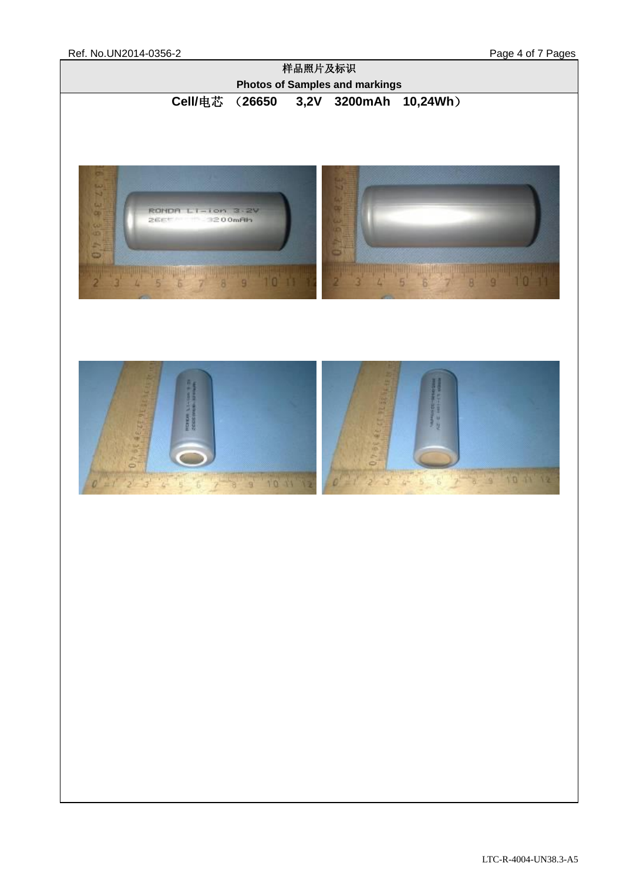Ref. No.UN2014-0356-2 Page 4 of 7 Pages

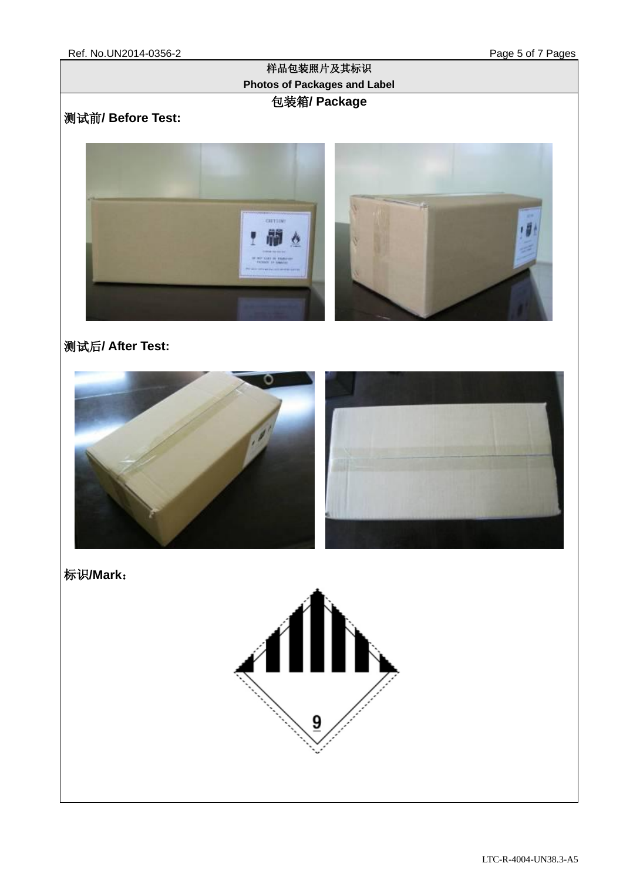#### 样品包装照片及其标识 **Photos of Packages and Label** 包装箱**/ Package**

## 测试前**/ Before Test:**



## 测试后**/ After Test:**



标识**/Mark**:

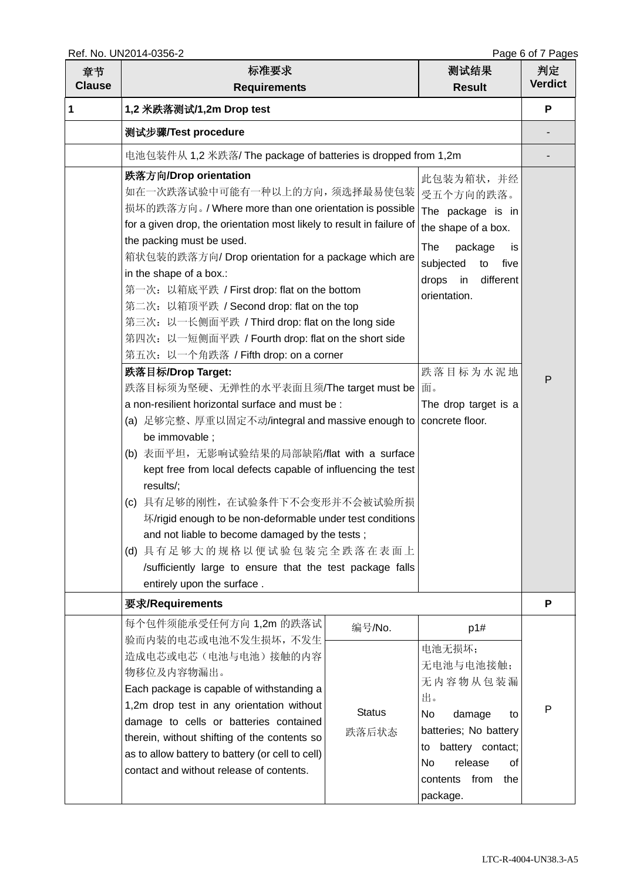| 章节<br><b>Clause</b> | 标准要求<br><b>Requirements</b>                                                                                                                                                                                                                                                                                                                                                                                                                                                                                                                                                                                                                                                                                                                                                                                                                                                                                                                                                                                                                                                                                                                         |                                  | 测试结果<br><b>Result</b>                                                                                                                                                                        | 判定<br><b>Verdict</b> |
|---------------------|-----------------------------------------------------------------------------------------------------------------------------------------------------------------------------------------------------------------------------------------------------------------------------------------------------------------------------------------------------------------------------------------------------------------------------------------------------------------------------------------------------------------------------------------------------------------------------------------------------------------------------------------------------------------------------------------------------------------------------------------------------------------------------------------------------------------------------------------------------------------------------------------------------------------------------------------------------------------------------------------------------------------------------------------------------------------------------------------------------------------------------------------------------|----------------------------------|----------------------------------------------------------------------------------------------------------------------------------------------------------------------------------------------|----------------------|
| 1                   | 1,2 米跌落测试/1,2m Drop test                                                                                                                                                                                                                                                                                                                                                                                                                                                                                                                                                                                                                                                                                                                                                                                                                                                                                                                                                                                                                                                                                                                            |                                  |                                                                                                                                                                                              | P                    |
|                     | 测试步骤/Test procedure                                                                                                                                                                                                                                                                                                                                                                                                                                                                                                                                                                                                                                                                                                                                                                                                                                                                                                                                                                                                                                                                                                                                 |                                  |                                                                                                                                                                                              |                      |
|                     | 电池包装件从 1,2 米跌落/ The package of batteries is dropped from 1,2m                                                                                                                                                                                                                                                                                                                                                                                                                                                                                                                                                                                                                                                                                                                                                                                                                                                                                                                                                                                                                                                                                       |                                  |                                                                                                                                                                                              |                      |
|                     | 跌落方向/Drop orientation<br>如在一次跌落试验中可能有一种以上的方向,须选择最易使包装   受五个方向的跌落。<br>损坏的跌落方向。/ Where more than one orientation is possible<br>for a given drop, the orientation most likely to result in failure of<br>the packing must be used.<br>箱状包装的跌落方向/Drop orientation for a package which are<br>in the shape of a box.:<br>第一次: 以箱底平跌 / First drop: flat on the bottom<br>第二次: 以箱顶平跌 / Second drop: flat on the top<br>第三次: 以一长侧面平跌 / Third drop: flat on the long side<br>第四次: 以一短侧面平跌 / Fourth drop: flat on the short side<br>第五次: 以一个角跌落 / Fifth drop: on a corner<br>跌落目标/Drop Target:<br>跌落目标须为坚硬、无弹性的水平表面且须/The target must be<br>a non-resilient horizontal surface and must be:<br>(a) 足够完整、厚重以固定不动/integral and massive enough to   concrete floor.<br>be immovable;<br>(b) 表面平坦, 无影响试验结果的局部缺陷/flat with a surface<br>kept free from local defects capable of influencing the test<br>results/;<br>具有足够的刚性, 在试验条件下不会变形并不会被试验所损<br>(c)<br>坏/rigid enough to be non-deformable under test conditions<br>and not liable to become damaged by the tests;<br>(d) 具有足够大的规格以便试验包装完全跌落在表面上<br>/sufficiently large to ensure that the test package falls |                                  | 此包装为箱状,并经<br>The package is in<br>the shape of a box.<br>The<br>package<br>is.<br>subjected<br>five<br>to<br>different<br>drops in<br>orientation.<br>跌落目标为水泥地<br>面。<br>The drop target is a | P                    |
|                     | 要求/Requirements                                                                                                                                                                                                                                                                                                                                                                                                                                                                                                                                                                                                                                                                                                                                                                                                                                                                                                                                                                                                                                                                                                                                     |                                  |                                                                                                                                                                                              | P                    |
|                     | 每个包件须能承受任何方向 1,2m 的跌落试<br>验而内装的电芯或电池不发生损坏,不发生<br>造成电芯或电芯(电池与电池)接触的内容<br>物移位及内容物漏出。<br>Each package is capable of withstanding a<br>1,2m drop test in any orientation without<br>damage to cells or batteries contained<br>therein, without shifting of the contents so<br>as to allow battery to battery (or cell to cell)<br>contact and without release of contents.                                                                                                                                                                                                                                                                                                                                                                                                                                                                                                                                                                                                                                                                                                                                                                              | 编号/No.<br><b>Status</b><br>跌落后状态 | p1#<br>电池无损坏;<br>无电池与电池接触;<br>无内容物从包装漏<br>出。<br>No.<br>damage<br>to<br>batteries; No battery<br>battery contact;<br>to<br>No<br>release<br>οf<br>from<br>contents<br>the<br>package.         | P                    |